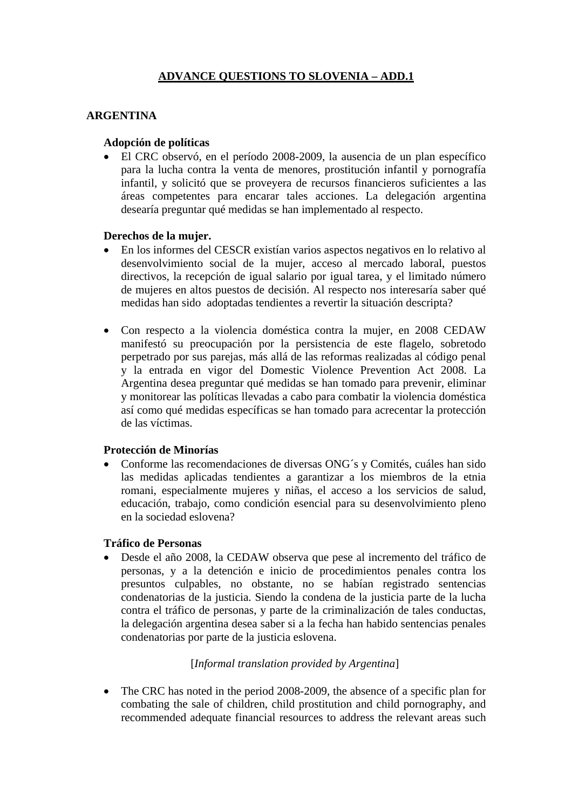# **ADVANCE QUESTIONS TO SLOVENIA – ADD.1**

### **ARGENTINA**

#### **Adopción de políticas**

• El CRC observó, en el período 2008-2009, la ausencia de un plan específico para la lucha contra la venta de menores, prostitución infantil y pornografía infantil, y solicitó que se proveyera de recursos financieros suficientes a las áreas competentes para encarar tales acciones. La delegación argentina desearía preguntar qué medidas se han implementado al respecto.

#### **Derechos de la mujer.**

- En los informes del CESCR existían varios aspectos negativos en lo relativo al desenvolvimiento social de la mujer, acceso al mercado laboral, puestos directivos, la recepción de igual salario por igual tarea, y el limitado número de mujeres en altos puestos de decisión. Al respecto nos interesaría saber qué medidas han sido adoptadas tendientes a revertir la situación descripta?
- Con respecto a la violencia doméstica contra la mujer, en 2008 CEDAW manifestó su preocupación por la persistencia de este flagelo, sobretodo perpetrado por sus parejas, más allá de las reformas realizadas al código penal y la entrada en vigor del Domestic Violence Prevention Act 2008. La Argentina desea preguntar qué medidas se han tomado para prevenir, eliminar y monitorear las políticas llevadas a cabo para combatir la violencia doméstica así como qué medidas específicas se han tomado para acrecentar la protección de las víctimas.

#### **Protección de Minorías**

• Conforme las recomendaciones de diversas ONG´s y Comités, cuáles han sido las medidas aplicadas tendientes a garantizar a los miembros de la etnia romani, especialmente mujeres y niñas, el acceso a los servicios de salud, educación, trabajo, como condición esencial para su desenvolvimiento pleno en la sociedad eslovena?

#### **Tráfico de Personas**

• Desde el año 2008, la CEDAW observa que pese al incremento del tráfico de personas, y a la detención e inicio de procedimientos penales contra los presuntos culpables, no obstante, no se habían registrado sentencias condenatorias de la justicia. Siendo la condena de la justicia parte de la lucha contra el tráfico de personas, y parte de la criminalización de tales conductas, la delegación argentina desea saber si a la fecha han habido sentencias penales condenatorias por parte de la justicia eslovena.

#### [*Informal translation provided by Argentina*]

• The CRC has noted in the period 2008-2009, the absence of a specific plan for combating the sale of children, child prostitution and child pornography, and recommended adequate financial resources to address the relevant areas such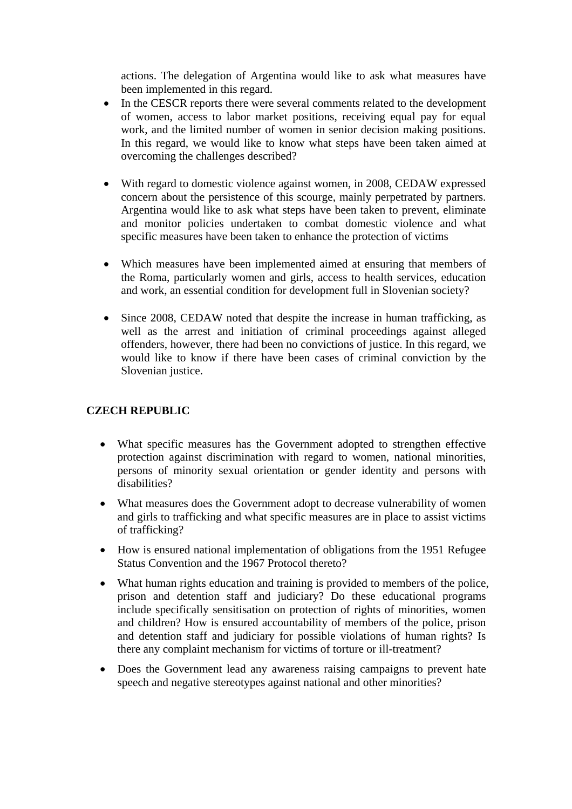actions. The delegation of Argentina would like to ask what measures have been implemented in this regard.

- In the CESCR reports there were several comments related to the development of women, access to labor market positions, receiving equal pay for equal work, and the limited number of women in senior decision making positions. In this regard, we would like to know what steps have been taken aimed at overcoming the challenges described?
- With regard to domestic violence against women, in 2008, CEDAW expressed concern about the persistence of this scourge, mainly perpetrated by partners. Argentina would like to ask what steps have been taken to prevent, eliminate and monitor policies undertaken to combat domestic violence and what specific measures have been taken to enhance the protection of victims
- Which measures have been implemented aimed at ensuring that members of the Roma, particularly women and girls, access to health services, education and work, an essential condition for development full in Slovenian society?
- Since 2008, CEDAW noted that despite the increase in human trafficking, as well as the arrest and initiation of criminal proceedings against alleged offenders, however, there had been no convictions of justice. In this regard, we would like to know if there have been cases of criminal conviction by the Slovenian justice.

#### **CZECH REPUBLIC**

- What specific measures has the Government adopted to strengthen effective protection against discrimination with regard to women, national minorities, persons of minority sexual orientation or gender identity and persons with disabilities?
- What measures does the Government adopt to decrease vulnerability of women and girls to trafficking and what specific measures are in place to assist victims of trafficking?
- How is ensured national implementation of obligations from the 1951 Refugee Status Convention and the 1967 Protocol thereto?
- What human rights education and training is provided to members of the police, prison and detention staff and judiciary? Do these educational programs include specifically sensitisation on protection of rights of minorities, women and children? How is ensured accountability of members of the police, prison and detention staff and judiciary for possible violations of human rights? Is there any complaint mechanism for victims of torture or ill-treatment?
- Does the Government lead any awareness raising campaigns to prevent hate speech and negative stereotypes against national and other minorities?